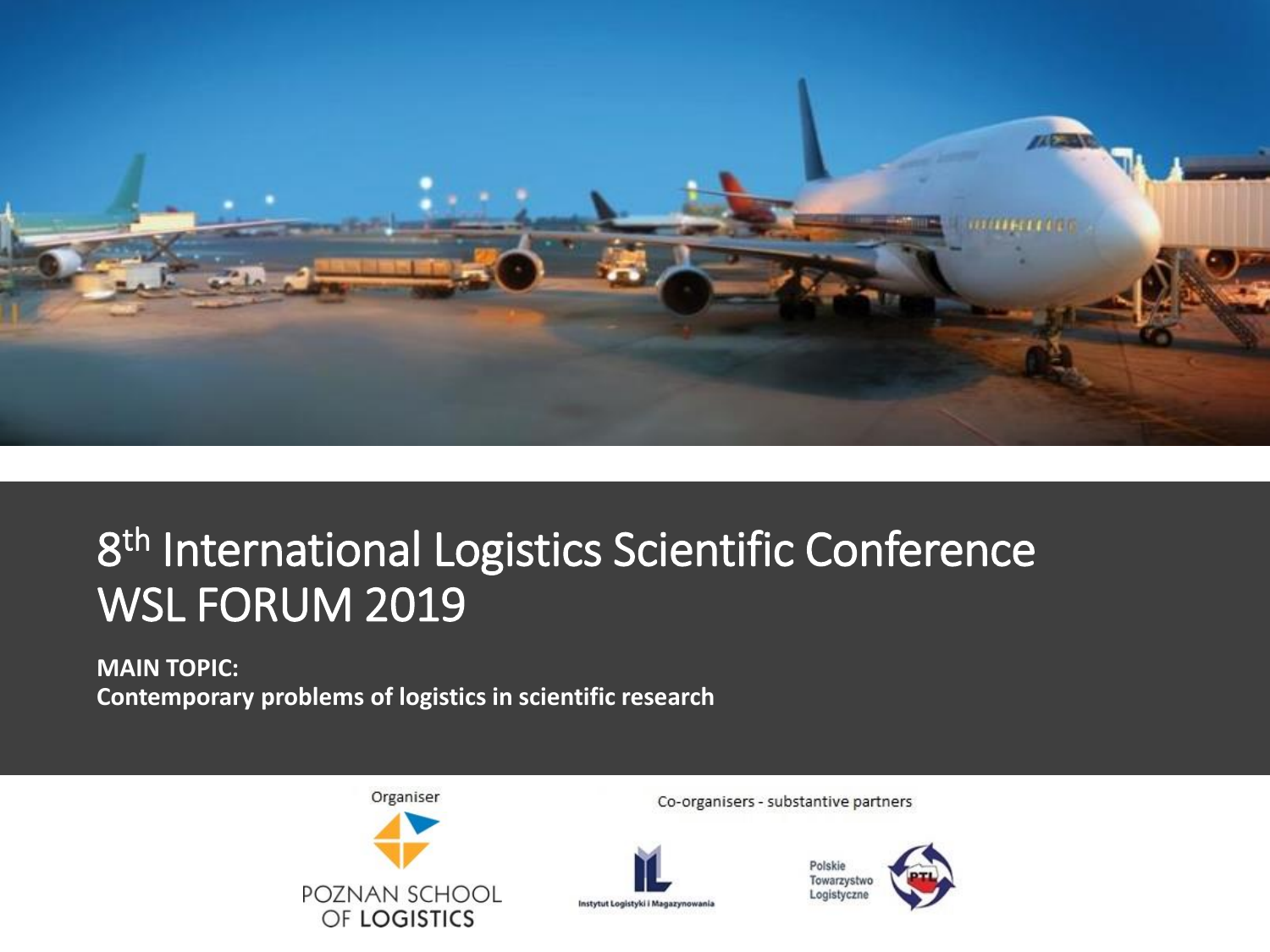

## 8<sup>th</sup> International Logistics Scientific Conference WSL FORUM 2019

### **MAIN TOPIC: Contemporary problems of logistics in scientific research**



Co-organisers - substantive partners



Polskie Towarzystwo Logistyczne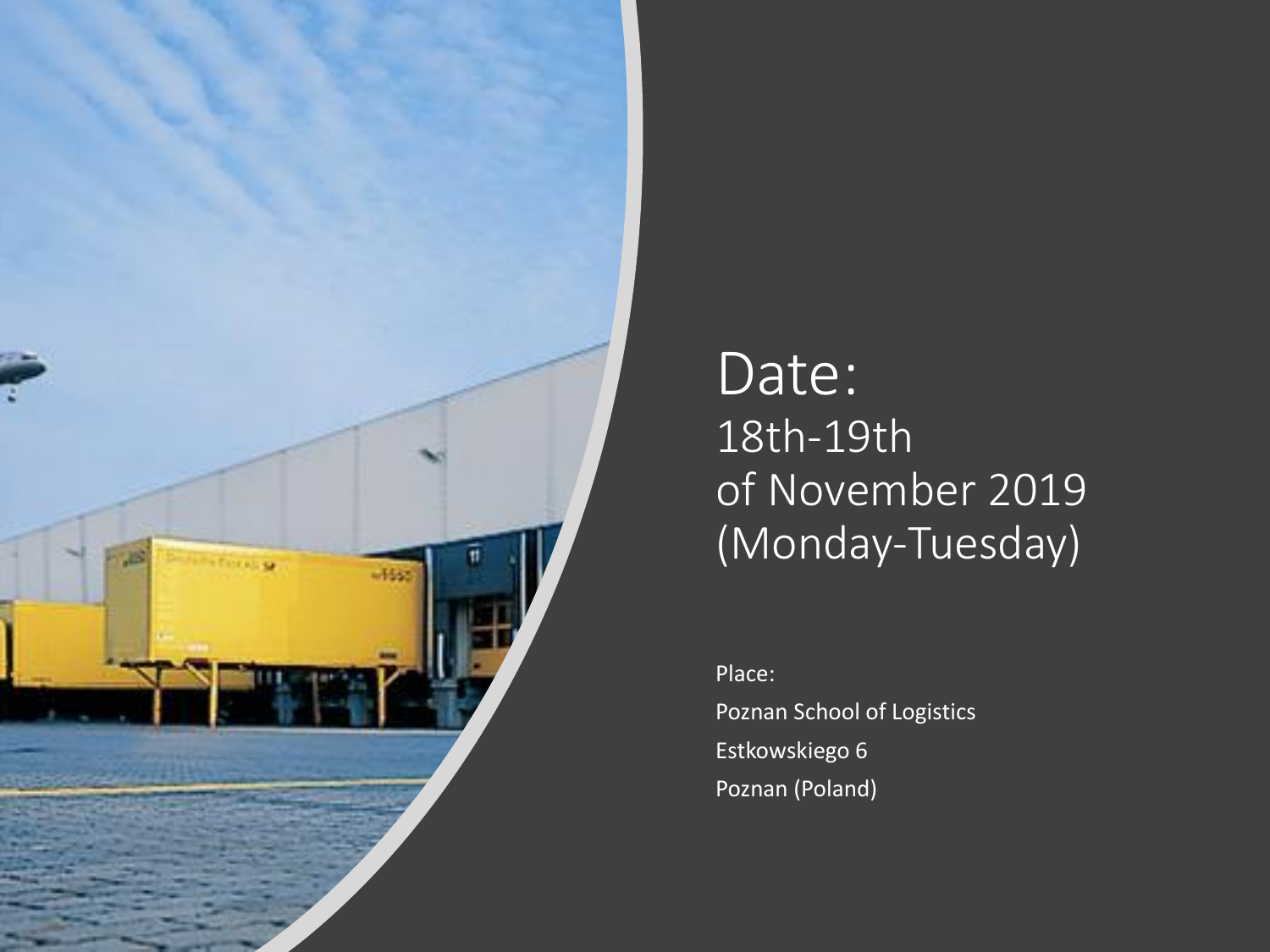

## Date: 18th-19th of November 2019 (Monday-Tuesday)

Place: Poznan School of Logistics Estkowskiego 6 Poznan (Poland)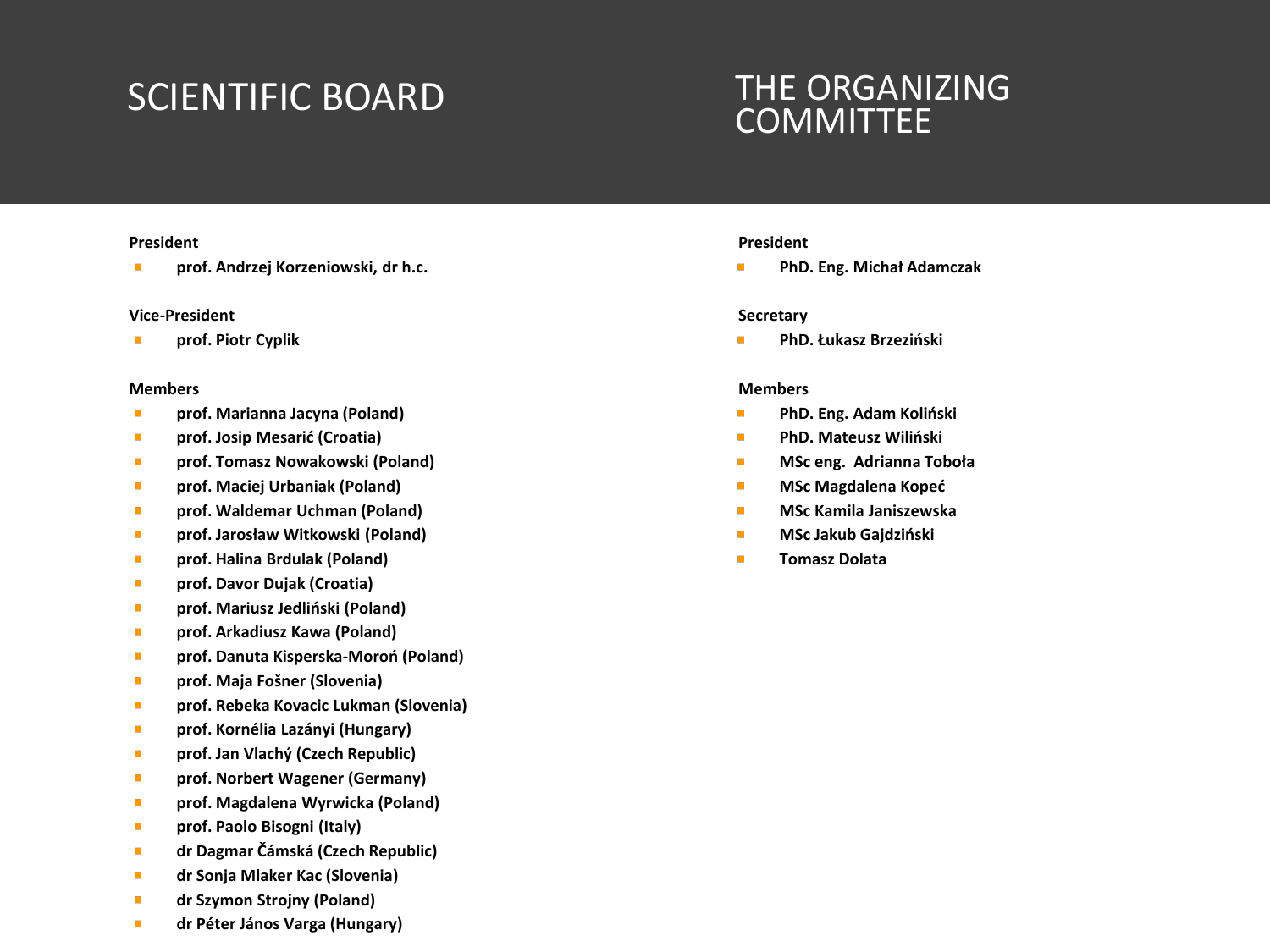### SCIENTIFIC BOARD THE ORGANIZING

## **COMMITTEE**

#### **President**

**prof. Andrzej Korzeniowski, dr h.c.**

#### **Vice-President**

 $\blacksquare$ **prof. Piotr Cyplik**

#### **Members**

- $\blacksquare$ **prof. Marianna Jacyna (Poland)**
- **prof. Josip Mesarić (Croatia)**  $\overline{\phantom{a}}$
- **prof. Tomasz Nowakowski (Poland)**  $\blacksquare$
- ٠ **prof. Maciej Urbaniak (Poland)**
- **prof. Waldemar Uchman (Poland)**  $\mathcal{L}_{\mathcal{A}}$
- $\mathcal{L}_{\mathcal{A}}$ **prof. Jarosław Witkowski (Poland)**
- $\overline{\phantom{a}}$ **prof. Halina Brdulak (Poland)**
- $\blacksquare$ **prof. Davor Dujak (Croatia)**
- $\blacksquare$ **prof. Mariusz Jedliński (Poland)**
- **prof. Arkadiusz Kawa (Poland)**  $\mathcal{L}_{\mathcal{A}}$
- **prof. Danuta Kisperska-Moroń (Poland)**  $\blacksquare$
- **prof. Maja Fošner (Slovenia)** m.
- **prof. Rebeka Kovacic Lukman (Slovenia)**  $\blacksquare$
- **prof. Kornélia Lazányi (Hungary)**  $\blacksquare$
- $\mathcal{L}_{\mathcal{A}}$ **prof. Jan Vlachý (Czech Republic)**
- **prof. Norbert Wagener (Germany)**  $\blacksquare$
- **prof. Magdalena Wyrwicka (Poland)**  $\mathcal{L}_{\mathcal{A}}$
- **prof. Paolo Bisogni (Italy)**  $\blacksquare$
- **dr Dagmar Čámská (Czech Republic)** ٠
- **dr Sonja Mlaker Kac (Slovenia)** ٠
- **dr Szymon Strojny (Poland)**
- **dr Péter János Varga (Hungary)**

#### **President**

**PhD. Eng. Michał Adamczak**

#### **Secretary**

**PhD. Łukasz Brzeziński**

#### **Members**

- $\blacksquare$ **PhD. Eng. Adam Koliński**
- **PhD. Mateusz Wiliński** ٠
- $\blacksquare$ **MSc eng. Adrianna Toboła**
- **MSc Magdalena Kopeć** ×
- **MSc Kamila Janiszewska** ٠
- **MSc Jakub Gajdziński** Ē,
- n. **Tomasz Dolata**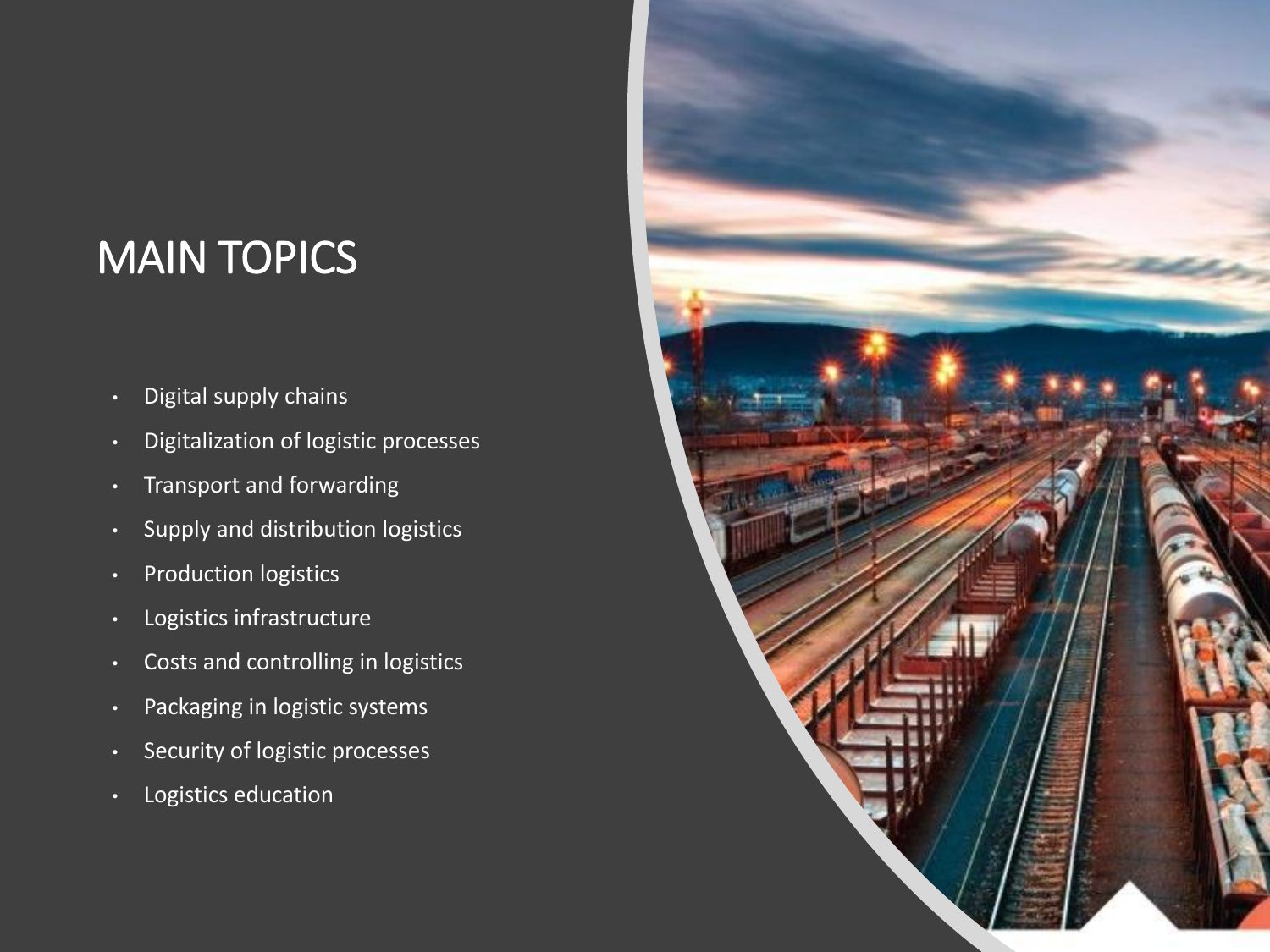## MAIN TOPICS

- Digital supply chains
- Digitalization of logistic processes
- Transport and forwarding
- Supply and distribution logistics
- Production logistics
- Logistics infrastructure
- Costs and controlling in logistics
- Packaging in logistic systems
- Security of logistic processes
- Logistics education

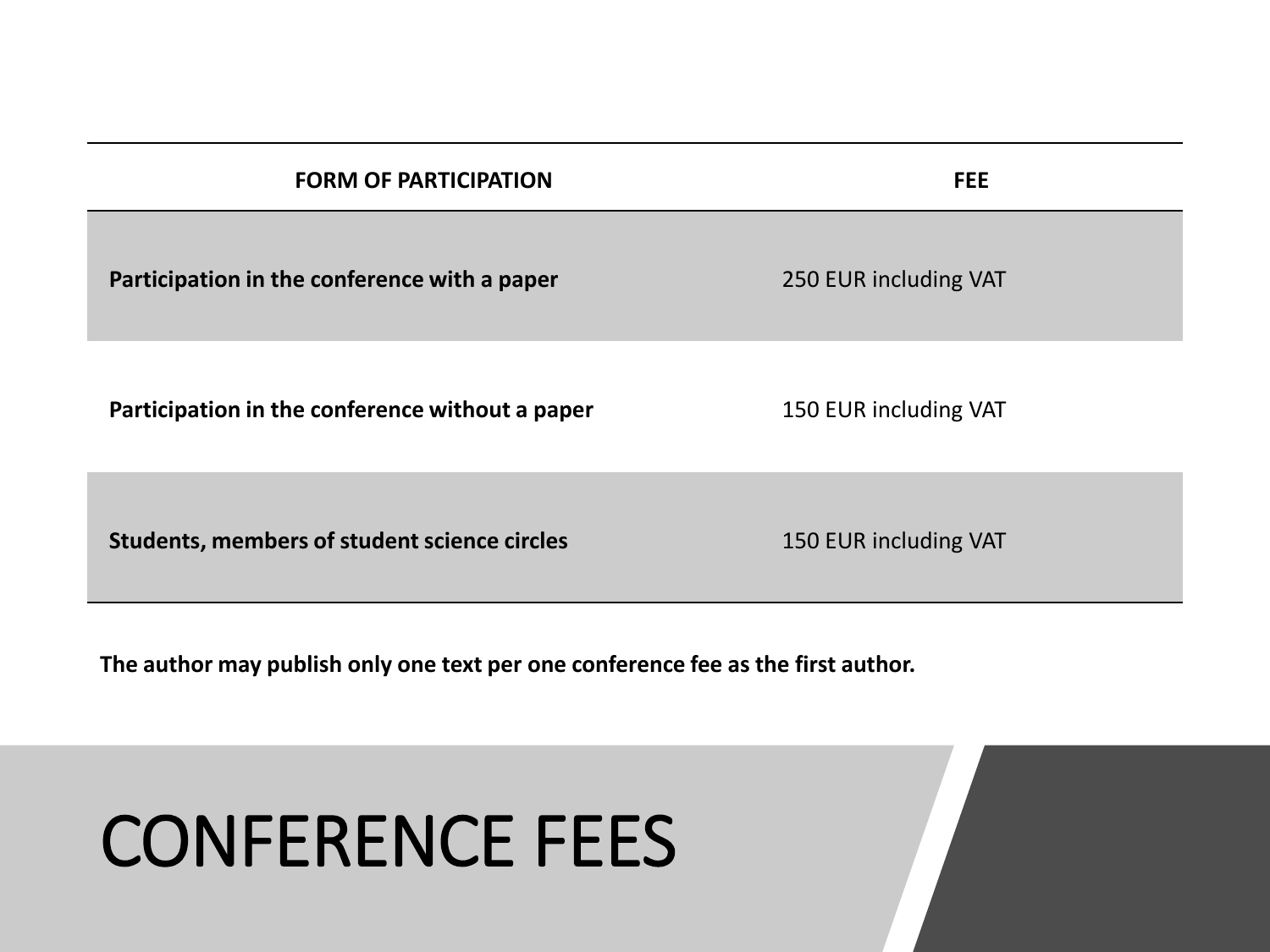| <b>FORM OF PARTICIPATION</b>                        | <b>FEE</b>            |
|-----------------------------------------------------|-----------------------|
| Participation in the conference with a paper        | 250 EUR including VAT |
| Participation in the conference without a paper     | 150 EUR including VAT |
| <b>Students, members of student science circles</b> | 150 EUR including VAT |

**The author may publish only one text per one conference fee as the first author.**

# CONFERENCE FEES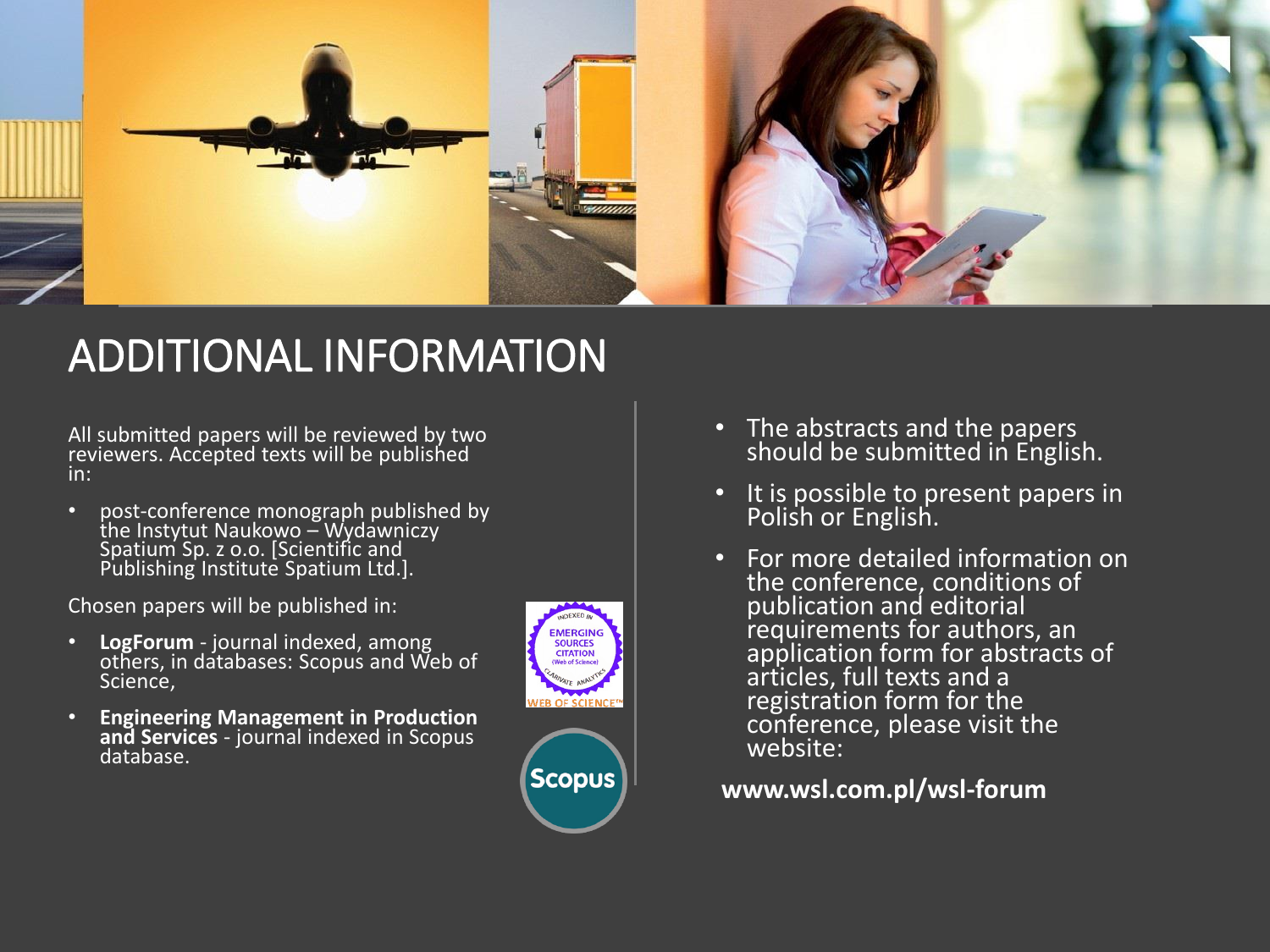

### ADDITIONAL INFORMATION

All submitted papers will be reviewed by two reviewers. Accepted texts will be published in:

• post-conference monograph published by the Instytut Naukowo – Wydawniczy Spatium Sp. z o.o. [Scientific and Publishing Institute Spatium Ltd.].

Chosen papers will be published in:

- **LogForum** journal indexed, among others, in databases: Scopus and Web of Science,
- **Engineering Management in Production and Services** - journal indexed in Scopus database.





- The abstracts and the papers should be submitted in English.
- It is possible to present papers in Polish or English.
- For more detailed information on the conference, conditions of publication and editorial requirements for authors, an application form for abstracts of articles, full texts and a registration form for the conference, please visit the website:

**www.wsl.com.pl/wsl-forum**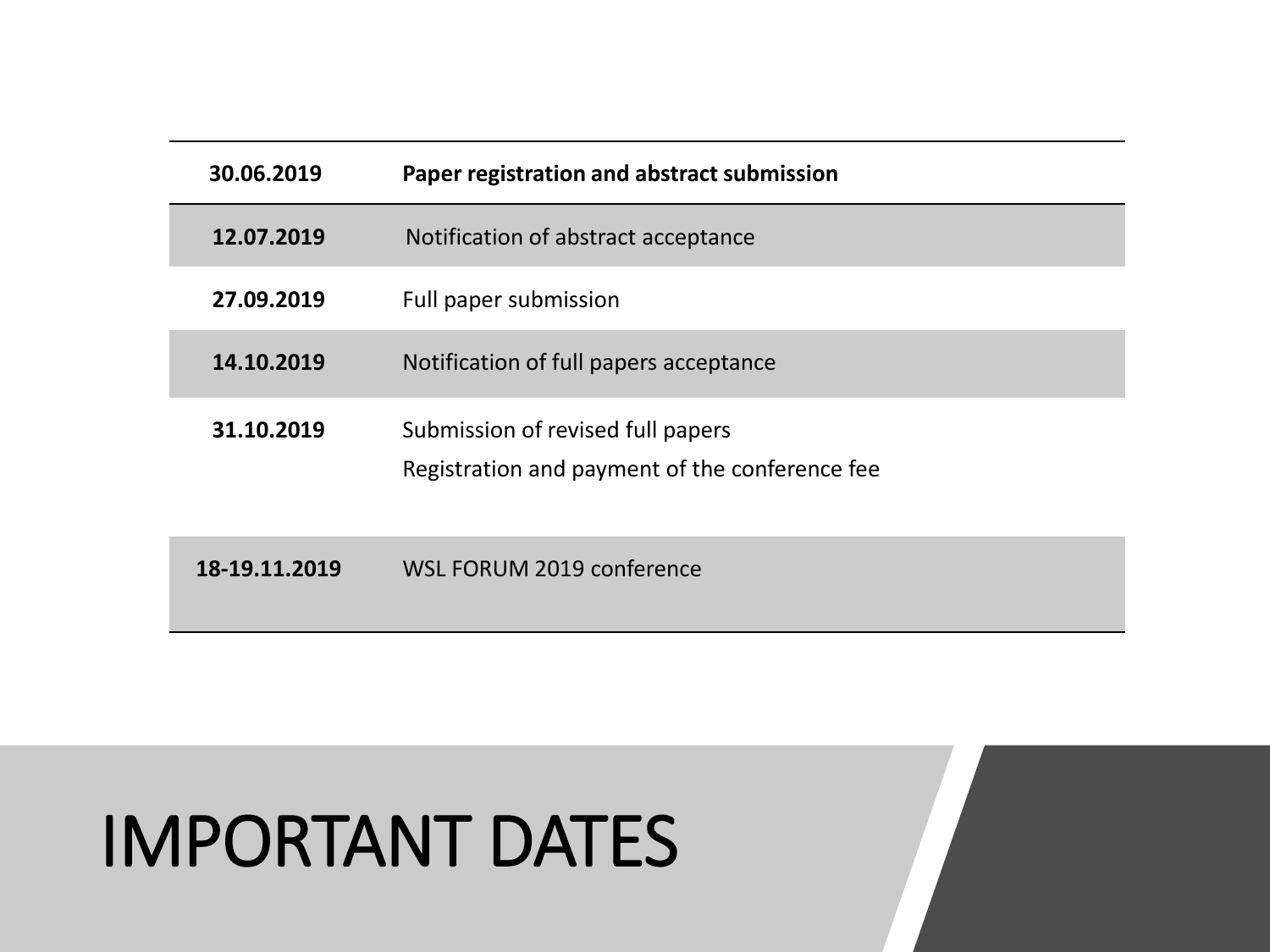| 30.06.2019    | Paper registration and abstract submission                                          |
|---------------|-------------------------------------------------------------------------------------|
| 12.07.2019    | Notification of abstract acceptance                                                 |
| 27.09.2019    | Full paper submission                                                               |
| 14.10.2019    | Notification of full papers acceptance                                              |
| 31.10.2019    | Submission of revised full papers<br>Registration and payment of the conference fee |
| 18-19.11.2019 | WSL FORUM 2019 conference                                                           |

# IMPORTANT DATES